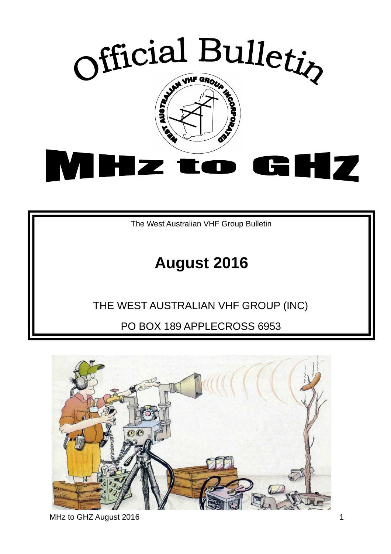

The West Australian VHF Group Bulletin

# **August 2016**

## THE WEST AUSTRALIAN VHF GROUP (INC)

PO BOX 189 APPLECROSS 6953



MHz to GHZ August 2016 1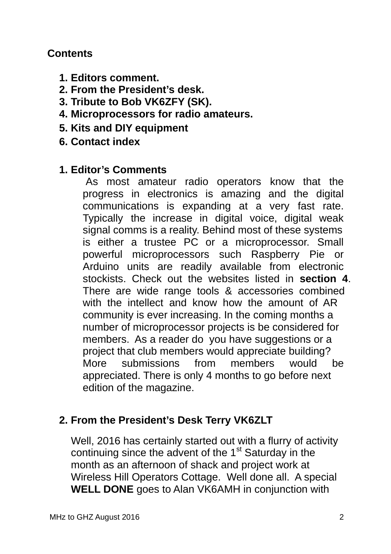#### **Contents**

- **1. Editors comment.**
- **2. From the President's desk.**
- **3. Tribute to Bob VK6ZFY (SK).**
- **4. Microprocessors for radio amateurs.**
- **5. Kits and DIY equipment**
- **6. Contact index**

#### **1. Editor's Comments**

As most amateur radio operators know that the progress in electronics is amazing and the digital communications is expanding at a very fast rate. Typically the increase in digital voice, digital weak signal comms is a reality. Behind most of these systems is either a trustee PC or a microprocessor. Small powerful microprocessors such Raspberry Pie or Arduino units are readily available from electronic stockists. Check out the websites listed in **section 4**. There are wide range tools & accessories combined with the intellect and know how the amount of AR community is ever increasing. In the coming months a number of microprocessor projects is be considered for members. As a reader do you have suggestions or a project that club members would appreciate building? More submissions from members would be appreciated. There is only 4 months to go before next edition of the magazine.

#### **2. From the President's Desk Terry VK6ZLT**

Well, 2016 has certainly started out with a flurry of activity continuing since the advent of the  $1<sup>st</sup>$  Saturday in the month as an afternoon of shack and project work at Wireless Hill Operators Cottage. Well done all. A special **WELL DONE** goes to Alan VK6AMH in conjunction with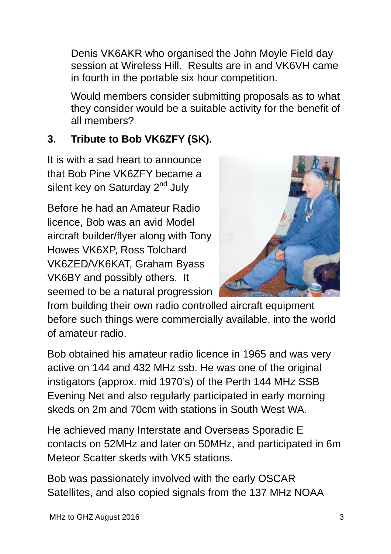Denis VK6AKR who organised the John Moyle Field day session at Wireless Hill. Results are in and VK6VH came in fourth in the portable six hour competition.

Would members consider submitting proposals as to what they consider would be a suitable activity for the benefit of all members?

## **3. Tribute to Bob VK6ZFY (SK).**

It is with a sad heart to announce that Bob Pine VK6ZFY became a silent key on Saturday 2<sup>nd</sup> July

Before he had an Amateur Radio licence, Bob was an avid Model aircraft builder/flyer along with Tony Howes VK6XP, Ross Tolchard VK6ZED/VK6KAT, Graham Byass VK6BY and possibly others. It seemed to be a natural progression



from building their own radio controlled aircraft equipment before such things were commercially available, into the world of amateur radio.

Bob obtained his amateur radio licence in 1965 and was very active on 144 and 432 MHz ssb. He was one of the original instigators (approx. mid 1970's) of the Perth 144 MHz SSB Evening Net and also regularly participated in early morning skeds on 2m and 70cm with stations in South West WA.

He achieved many Interstate and Overseas Sporadic E contacts on 52MHz and later on 50MHz, and participated in 6m Meteor Scatter skeds with VK5 stations.

Bob was passionately involved with the early OSCAR Satellites, and also copied signals from the 137 MHz NOAA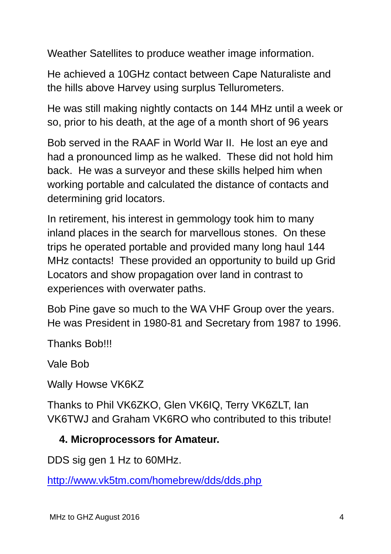Weather Satellites to produce weather image information.

He achieved a 10GHz contact between Cape Naturaliste and the hills above Harvey using surplus Tellurometers.

He was still making nightly contacts on 144 MHz until a week or so, prior to his death, at the age of a month short of 96 years

Bob served in the RAAF in World War II. He lost an eye and had a pronounced limp as he walked. These did not hold him back. He was a surveyor and these skills helped him when working portable and calculated the distance of contacts and determining grid locators.

In retirement, his interest in gemmology took him to many inland places in the search for marvellous stones. On these trips he operated portable and provided many long haul 144 MHz contacts! These provided an opportunity to build up Grid Locators and show propagation over land in contrast to experiences with overwater paths.

Bob Pine gave so much to the WA VHF Group over the years. He was President in 1980-81 and Secretary from 1987 to 1996.

Thanks Bob!!!

Vale Bob

Wally Howse VK6KZ

Thanks to Phil VK6ZKO, Glen VK6IQ, Terry VK6ZLT, Ian VK6TWJ and Graham VK6RO who contributed to this tribute!

#### **4. Microprocessors for Amateur.**

DDS sig gen 1 Hz to 60MHz.

http://www.vk5tm.com/homebrew/dds/dds.php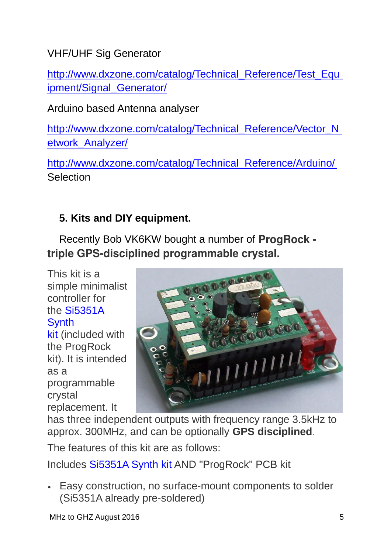VHF/UHF Sig Generator

http://www.dxzone.com/catalog/Technical\_Reference/Test\_Equ ipment/Signal Generator/

Arduino based Antenna analyser

http://www.dxzone.com/catalog/Technical\_Reference/Vector\_N etwork\_Analyzer/

http://www.dxzone.com/catalog/Technical\_Reference/Arduino/ **Selection** 

## **5. Kits and DIY equipment.**

Recently Bob VK6KW bought a number of **ProgRock**  triple GPS-disciplined programmable crystal.

This kit is a simple minimalist controller for the Si5351A **Synth** 

kit (included with the ProgRock kit). It is intended as a programmable crystal replacement. It



has three independent outputs with frequency range 3.5kHz to approx. 300MHz, and can be optionally **GPS disciplined**.

The features of this kit are as follows:

Includes Si5351A Synth kit AND "ProgRock" PCB kit

 Easy construction, no surface-mount components to solder (Si5351A already pre-soldered)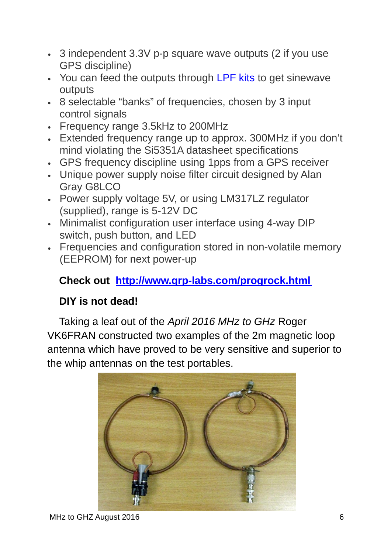- 3 independent 3.3V p-p square wave outputs (2 if you use GPS discipline)
- You can feed the outputs through LPF kits to get sinewave **outputs**
- 8 selectable "banks" of frequencies, chosen by 3 input control signals
- Frequency range 3.5kHz to 200MHz
- Extended frequency range up to approx. 300MHz if you don't mind violating the Si5351A datasheet specifications
- GPS frequency discipline using 1pps from a GPS receiver
- Unique power supply noise filter circuit designed by Alan Gray G8LCO
- Power supply voltage 5V, or using LM317LZ regulator (supplied), range is 5-12V DC
- Minimalist configuration user interface using 4-way DIP switch, push button, and LED
- Frequencies and configuration stored in non-volatile memory (EEPROM) for next power-up

## **Check out http://www.qrp-labs.com/progrock.html**

#### **DIY is not dead!**

Taking a leaf out of the *April 2016 MHz to GHz* Roger VK6FRAN constructed two examples of the 2m magnetic loop antenna which have proved to be very sensitive and superior to the whip antennas on the test portables.

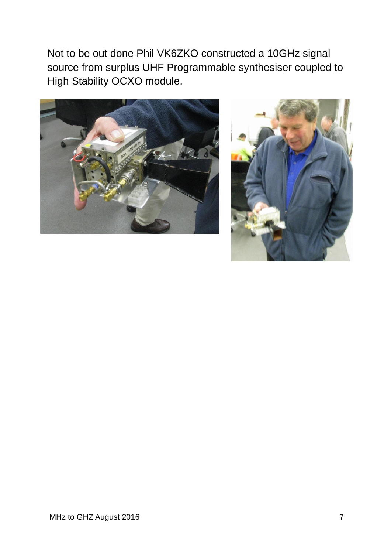Not to be out done Phil VK6ZKO constructed a 10GHz signal source from surplus UHF Programmable synthesiser coupled to High Stability OCXO module.